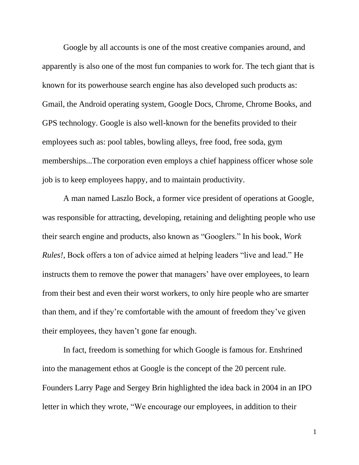Google by all accounts is one of the most creative companies around, and apparently is also one of the most fun companies to work for. The tech giant that is known for its powerhouse search engine has also developed such products as: Gmail, the Android operating system, Google Docs, Chrome, Chrome Books, and GPS technology. Google is also well-known for the benefits provided to their employees such as: pool tables, bowling alleys, free food, free soda, gym memberships...The corporation even employs a chief happiness officer whose sole job is to keep employees happy, and to maintain productivity.

A man named Laszlo Bock, a former vice president of operations at Google, was responsible for attracting, developing, retaining and delighting people who use their search engine and products, also known as "Googlers." In his book, *Work Rules!,* Bock offers a ton of advice aimed at helping leaders "live and lead." He instructs them to remove the power that managers' have over employees, to learn from their best and even their worst workers, to only hire people who are smarter than them, and if they're comfortable with the amount of freedom they've given their employees, they haven't gone far enough.

In fact, freedom is something for which Google is famous for. Enshrined into the management ethos at Google is the concept of the 20 percent rule*.* Founders Larry Page and Sergey Brin highlighted the idea back in 2004 in an IPO letter in which they wrote, "We encourage our employees, in addition to their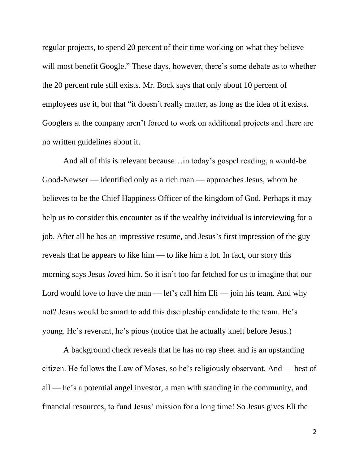regular projects, to spend 20 percent of their time working on what they believe will most benefit Google." These days, however, there's some debate as to whether the 20 percent rule still exists. Mr. Bock says that only about 10 percent of employees use it, but that "it doesn't really matter, as long as the idea of it exists. Googlers at the company aren't forced to work on additional projects and there are no written guidelines about it.

And all of this is relevant because…in today's gospel reading, a would-be Good-Newser — identified only as a rich man — approaches Jesus, whom he believes to be the Chief Happiness Officer of the kingdom of God. Perhaps it may help us to consider this encounter as if the wealthy individual is interviewing for a job. After all he has an impressive resume, and Jesus's first impression of the guy reveals that he appears to like him — to like him a lot. In fact, our story this morning says Jesus *loved* him. So it isn't too far fetched for us to imagine that our Lord would love to have the man — let's call him  $Eli$  — join his team. And why not? Jesus would be smart to add this discipleship candidate to the team. He's young. He's reverent, he's pious (notice that he actually knelt before Jesus.)

A background check reveals that he has no rap sheet and is an upstanding citizen. He follows the Law of Moses, so he's religiously observant. And — best of all — he's a potential angel investor, a man with standing in the community, and financial resources, to fund Jesus' mission for a long time! So Jesus gives Eli the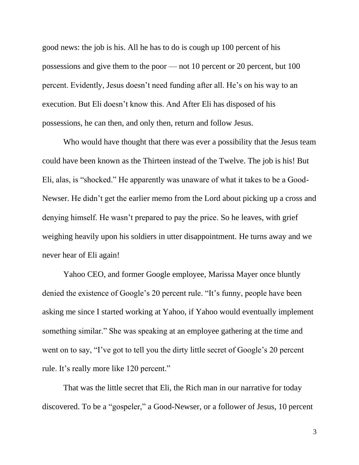good news: the job is his. All he has to do is cough up 100 percent of his possessions and give them to the poor — not 10 percent or 20 percent, but 100 percent. Evidently, Jesus doesn't need funding after all. He's on his way to an execution. But Eli doesn't know this. And After Eli has disposed of his possessions, he can then, and only then, return and follow Jesus.

Who would have thought that there was ever a possibility that the Jesus team could have been known as the Thirteen instead of the Twelve. The job is his! But Eli, alas, is "shocked." He apparently was unaware of what it takes to be a Good-Newser. He didn't get the earlier memo from the Lord about picking up a cross and denying himself. He wasn't prepared to pay the price. So he leaves, with grief weighing heavily upon his soldiers in utter disappointment. He turns away and we never hear of Eli again!

Yahoo CEO, and former Google employee, Marissa Mayer once bluntly denied the existence of Google's 20 percent rule. "It's funny, people have been asking me since I started working at Yahoo, if Yahoo would eventually implement something similar." She was speaking at an employee gathering at the time and went on to say, "I've got to tell you the dirty little secret of Google's 20 percent rule. It's really more like 120 percent."

That was the little secret that Eli, the Rich man in our narrative for today discovered. To be a "gospeler," a Good-Newser, or a follower of Jesus, 10 percent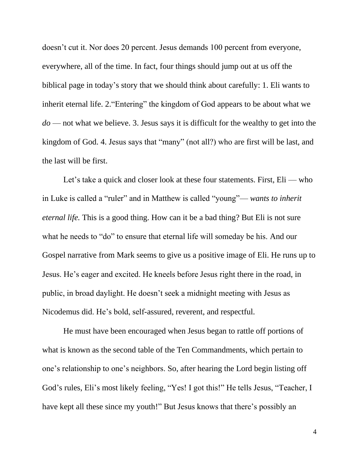doesn't cut it. Nor does 20 percent. Jesus demands 100 percent from everyone, everywhere, all of the time. In fact, four things should jump out at us off the biblical page in today's story that we should think about carefully: 1. Eli wants to inherit eternal life. 2."Entering" the kingdom of God appears to be about what we *do* — not what we believe. 3. Jesus says it is difficult for the wealthy to get into the kingdom of God. 4. Jesus says that "many" (not all?) who are first will be last, and the last will be first.

Let's take a quick and closer look at these four statements. First, Eli — who in Luke is called a "ruler" and in Matthew is called "young"— *wants to inherit eternal life.* This is a good thing. How can it be a bad thing? But Eli is not sure what he needs to "do" to ensure that eternal life will someday be his. And our Gospel narrative from Mark seems to give us a positive image of Eli. He runs up to Jesus. He's eager and excited. He kneels before Jesus right there in the road, in public, in broad daylight. He doesn't seek a midnight meeting with Jesus as Nicodemus did. He's bold, self-assured, reverent, and respectful.

He must have been encouraged when Jesus began to rattle off portions of what is known as the second table of the Ten Commandments, which pertain to one's relationship to one's neighbors. So, after hearing the Lord begin listing off God's rules, Eli's most likely feeling, "Yes! I got this!" He tells Jesus, "Teacher, I have kept all these since my youth!" But Jesus knows that there's possibly an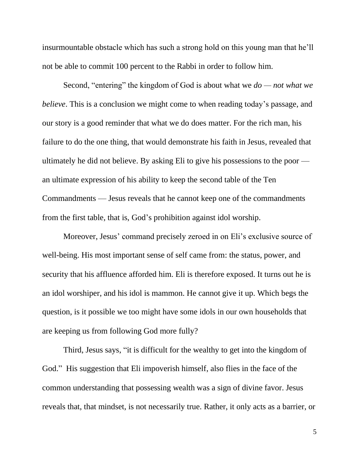insurmountable obstacle which has such a strong hold on this young man that he'll not be able to commit 100 percent to the Rabbi in order to follow him.

Second, "entering" the kingdom of God is about what we *do — not what we believe*. This is a conclusion we might come to when reading today's passage, and our story is a good reminder that what we do does matter. For the rich man, his failure to do the one thing, that would demonstrate his faith in Jesus, revealed that ultimately he did not believe. By asking Eli to give his possessions to the poor an ultimate expression of his ability to keep the second table of the Ten Commandments — Jesus reveals that he cannot keep one of the commandments from the first table, that is, God's prohibition against idol worship.

Moreover, Jesus' command precisely zeroed in on Eli's exclusive source of well-being. His most important sense of self came from: the status, power, and security that his affluence afforded him. Eli is therefore exposed. It turns out he is an idol worshiper, and his idol is mammon. He cannot give it up. Which begs the question, is it possible we too might have some idols in our own households that are keeping us from following God more fully?

Third, Jesus says, "it is difficult for the wealthy to get into the kingdom of God." His suggestion that Eli impoverish himself, also flies in the face of the common understanding that possessing wealth was a sign of divine favor. Jesus reveals that, that mindset, is not necessarily true. Rather, it only acts as a barrier, or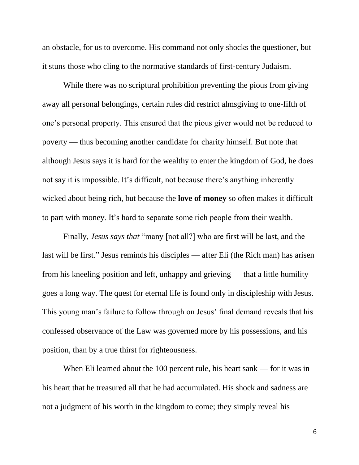an obstacle, for us to overcome. His command not only shocks the questioner, but it stuns those who cling to the normative standards of first-century Judaism.

While there was no scriptural prohibition preventing the pious from giving away all personal belongings, certain rules did restrict almsgiving to one-fifth of one's personal property. This ensured that the pious giver would not be reduced to poverty — thus becoming another candidate for charity himself. But note that although Jesus says it is hard for the wealthy to enter the kingdom of God, he does not say it is impossible. It's difficult, not because there's anything inherently wicked about being rich, but because the **love of money** so often makes it difficult to part with money. It's hard to separate some rich people from their wealth.

Finally, *Jesus says that* "many [not all?] who are first will be last, and the last will be first." Jesus reminds his disciples — after Eli (the Rich man) has arisen from his kneeling position and left, unhappy and grieving — that a little humility goes a long way. The quest for eternal life is found only in discipleship with Jesus. This young man's failure to follow through on Jesus' final demand reveals that his confessed observance of the Law was governed more by his possessions, and his position, than by a true thirst for righteousness.

When Eli learned about the 100 percent rule, his heart sank — for it was in his heart that he treasured all that he had accumulated. His shock and sadness are not a judgment of his worth in the kingdom to come; they simply reveal his